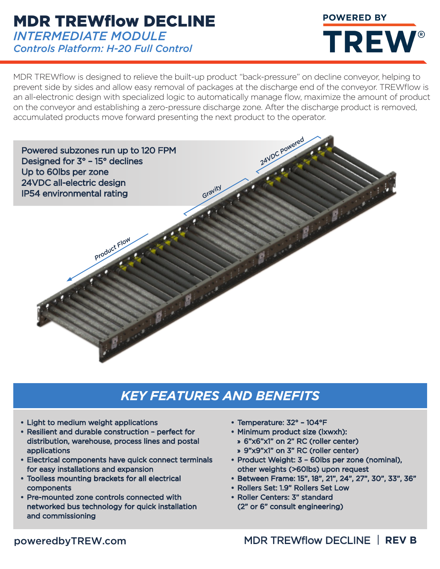### MDR TREWflow DECLINE *INTERMEDIATE MODULE Controls Platform: H-20 Full Control*

MDR TREWflow is designed to relieve the built-up product "back-pressure" on decline conveyor, helping to prevent side by sides and allow easy removal of packages at the discharge end of the conveyor. TREWflow is an all-electronic design with specialized logic to automatically manage flow, maximize the amount of product on the conveyor and establishing a zero-pressure discharge zone. After the discharge product is removed, accumulated products move forward presenting the next product to the operator.



## *KEY FEATURES AND BENEFITS*

- Light to medium weight applications
- Resilient and durable construction perfect for distribution, warehouse, process lines and postal applications
- Electrical components have quick connect terminals for easy installations and expansion
- Toolless mounting brackets for all electrical components
- Pre-mounted zone controls connected with networked bus technology for quick installation and commissioning
- Temperature: 32° 104°F
- Minimum product size (lxwxh):
	- » 6"x6"x1" on 2" RC (roller center)
	- » 9"x9"x1" on 3" RC (roller center)
- Product Weight: 3 60lbs per zone (nominal), other weights (>60lbs) upon request
- Between Frame: 15", 18", 21", 24", 27", 30", 33", 36"

**POWERED BY** 

**TREW®** 

- Rollers Set: 1.9" Rollers Set Low
- Roller Centers: 3" standard (2" or 6" consult engineering)

#### poweredbyTREW.com